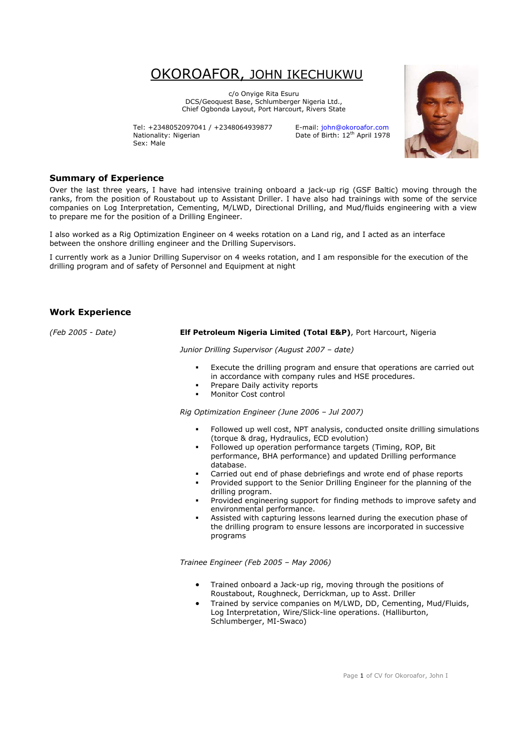# OKOROAFOR, JOHN IKECHUKWU

c/o Onyige Rita Esuru DCS/Geoquest Base, Schlumberger Nigeria Ltd., Chief Ogbonda Layout, Port Harcourt, Rivers State

Tel: +2348052097041 / +2348064939877 E-mail: john@okoroafor.com Nationality: Nigerian Date of Birth: 12<sup>th</sup> April 1978 Sex: Male



## **Summary of Experience**

Over the last three years, I have had intensive training onboard a jack-up rig (GSF Baltic) moving through the ranks, from the position of Roustabout up to Assistant Driller. I have also had trainings with some of the service companies on Log Interpretation, Cementing, M/LWD, Directional Drilling, and Mud/fluids engineering with a view to prepare me for the position of a Drilling Engineer.

I also worked as a Rig Optimization Engineer on 4 weeks rotation on a Land rig, and I acted as an interface between the onshore drilling engineer and the Drilling Supervisors.

I currently work as a Junior Drilling Supervisor on 4 weeks rotation, and I am responsible for the execution of the drilling program and of safety of Personnel and Equipment at night

# **Work Experience**

## *(Feb 2005 - Date)* **Elf Petroleum Nigeria Limited (Total E&P)**, Port Harcourt, Nigeria

*Junior Drilling Supervisor (August 2007 – date)* 

- Execute the drilling program and ensure that operations are carried out in accordance with company rules and HSE procedures.
- **Prepare Daily activity reports**
- Monitor Cost control

*Rig Optimization Engineer (June 2006 – Jul 2007)* 

- Followed up well cost, NPT analysis, conducted onsite drilling simulations (torque & drag, Hydraulics, ECD evolution)
- Followed up operation performance targets (Timing, ROP, Bit performance, BHA performance) and updated Drilling performance database.
- Carried out end of phase debriefings and wrote end of phase reports
- Provided support to the Senior Drilling Engineer for the planning of the drilling program.
- Provided engineering support for finding methods to improve safety and environmental performance.
- Assisted with capturing lessons learned during the execution phase of the drilling program to ensure lessons are incorporated in successive programs

*Trainee Engineer (Feb 2005 – May 2006)*

- Trained onboard a Jack-up rig, moving through the positions of Roustabout, Roughneck, Derrickman, up to Asst. Driller
- Trained by service companies on M/LWD, DD, Cementing, Mud/Fluids, Log Interpretation, Wire/Slick-line operations. (Halliburton, Schlumberger, MI-Swaco)